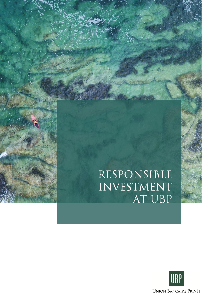# Responsible investment AT UBP

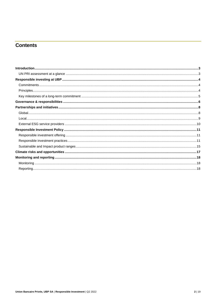# **Contents**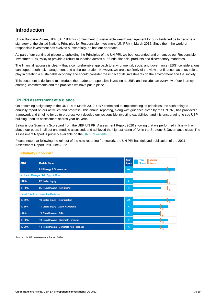# <span id="page-2-0"></span>**Introduction**

Union Bancaire Privée, UBP SA ("UBP")'s commitment to sustainable wealth management for our clients led us to become a signatory of the United Nations Principles for Responsible Investment (UN PRI) in March 2012. Since then, the world of responsible investment has evolved substantially, as has our approach.

As part of our continued pledge to upholding the Principles of the UN PRI, we both expanded and enhanced our Responsible Investment (RI) Policy to provide a robust foundation across our funds, financial products and discretionary mandates.

The financial rationale is clear – that a comprehensive approach to environmental, social and governance (ESG) considerations can support both risk management and alpha-generation. However, we are also firmly of the view that finance has a key role to play in creating a sustainable economy and should consider the impact of its investments on the environment and the society.

This document is designed to introduce the reader to responsible investing at UBP, and includes an overview of our journey, offering, commitments and the practices we have put in place.

## <span id="page-2-1"></span>**UN PRI assessment at a glance**

On becoming a signatory to the UN PRI in March 2012, UBP committed to implementing its principles, the sixth being to annually report on our activities and progress. This annual reporting, along with guidance given by the UN PRI, has provided a framework and timeline for us to progressively develop our responsible investing capabilities, and it is encouraging to see UBP building upon its assessment scores year on year.

Below is our Summary Scorecard from the UBP UN PRI Assessment Report 2020 showing that we performed in line with or above our peers in all but one module assessed, and achieved the highest rating of A+ in the Strategy & Governance class. The Assessment Report is publicly available on th[e UN PRI website.](https://www.unpri.org/signatories/reporting-and-assessment/public-signatory-reports)

Please note that following the roll-out of the new reporting framework, the UN PRI has delayed publication of the 2021 Assessment Report until June 2022.

| <b>AUM</b>                                   | <b>Module Name</b>                         | Your<br><b>Score</b> | <b>Median</b><br>Your<br><b>Score</b><br><b>Score</b> |  |  |
|----------------------------------------------|--------------------------------------------|----------------------|-------------------------------------------------------|--|--|
|                                              | 01.Strategy & Governance                   | $A+$                 |                                                       |  |  |
| Indirect - Manager Sel., App. & Mon          |                                            |                      |                                                       |  |  |
| $ $ <10%                                     | 02. Listed Equity                          | $\overline{A}$       |                                                       |  |  |
| 10-50%                                       | 06. Fixed Income - Securitised             | B                    |                                                       |  |  |
| <b>Direct &amp; Active Ownership Modules</b> |                                            |                      |                                                       |  |  |
| 10-50%                                       | 10. Listed Equity - Incorporation          | $A+$                 |                                                       |  |  |
| 10-50%                                       | 11. Listed Equity - Active Ownership       | $\mathsf{A}$         |                                                       |  |  |
| $ $ <10%                                     | 12. Fixed Income - SSA                     | B                    | R                                                     |  |  |
| 10-50%                                       | 13. Fixed Income - Corporate Financial     | A                    |                                                       |  |  |
| 10-50%                                       | 14. Fixed Income - Corporate Non-Financial | $\mathsf{A}$         |                                                       |  |  |

#### **Summary Scorecard**

Source: UN PRI Assessment Report 2020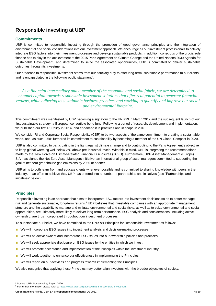# <span id="page-3-0"></span>**Responsible investing at UBP**

## <span id="page-3-1"></span>**Commitments**

UBP is committed to responsible investing through the promotion of good governance principles and the integration of environmental and social considerations into our investment approach. We encourage all our investment professionals to actively integrate ESG factors into their investment processes and develop sustainable products. In addition, conscious of the crucial role finance has to play in the achievement of the 2015 Paris Agreement on Climate Change and the United Nations 2030 Agenda for Sustainable Development, and determined to seize the associated opportunities, UBP is committed to deliver sustainable outcomes through its investments.

Our credence to responsible investment stems from our fiduciary duty to offer long-term, sustainable performance to our clients and is encapsulated in the following public statement<sup>1</sup>:

*As a financial intermediary and a member of the economic and social fabric, we are determined to channel capital towards responsible investment solutions that offer real potential to generate financial returns, while adhering to sustainable business practices and working to quantify and improve our social and environmental footprint.*

This commitment was manifested by UBP becoming a signatory to the UN PRI in March 2012 and the subsequent launch of our first sustainable strategy, a European convertible bond fund. Following a period of research, development and implementation, we published our first RI Policy in 2014, and enhanced it in practices and in scope in 2018.

We consider RI and Corporate Social Responsibility (CSR) to be two aspects of the same commitment to creating a sustainable world, and, as such, UBP furthered its commitment to sustainability by becoming a member of the UN Global Compact in 2020.

UBP is also committed to participating in the fight against climate change and to contributing to the Paris Agreement's objective to keep global warming well below 2°C above pre-industrial levels. With this in mind, UBP is integrating the recommendations made by the Task Force on Climate-Related Financial Disclosures (TCFD). Furthermore, UBP Asset Management (Europe) S.A. has signed the Net Zero Asset Managers initiative, an international group of asset managers committed to supporting the goal of net zero greenhouse gas emissions by 2050 or sooner.

UBP aims to both learn from and educate clients whenever possible and is committed to sharing knowledge with peers in the industry. In an effort to achieve this, UBP has entered into a number of partnerships and initiatives (see "Partnerships and initiatives" below).

# <span id="page-3-2"></span>**Principles**

Responsible investing is an approach that aims to incorporate ESG factors into investment decisions so as to better manage risk and generate sustainable, long-term returns.<sup>2</sup> UBP believes that investable companies with an appropriate management structure and the capability to manage and mitigate environmental and social risks, as well as to seize environmental and social opportunities, are ultimately more likely to deliver long-term performance. ESG analysis and considerations, including active ownership, are thus incorporated throughout our investment processes.

To substantiate our belief, we have committed to the UN's six Principles for Responsible Investment as follows:

- We will incorporate ESG issues into investment analysis and decision-making processes.
- We will be active owners and incorporate ESG issues into our ownership policies and practices.
- We will seek appropriate disclosure on ESG issues by the entities in which we invest.
- We will promote acceptance and implementation of the Principles within the investment industry.
- We will work together to enhance our effectiveness in implementing the Principles.
- We will report on our activities and progress towards implementing the Principles.

We also recognise that applying these Principles may better align investors with the broader objectives of society.

<sup>1</sup> Source: UBP, Sustainability Report 2020

<sup>&</sup>lt;sup>2</sup> For further information please refer to<https://www.unpri.org/about/what-is-responsible-investment>

**Union Bancaire Privée, UBP SA** | **Responsible Investment** | Q2 2022 **4** | 19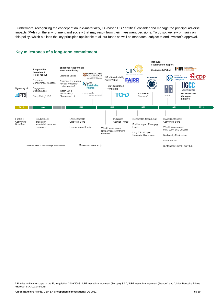Furthermore, recognizing the concept of double-materiality, EU-based UBP entities<sup>3</sup> consider and manage the principal adverse impacts (PAIs) on the environment and society that may result from their investment decisions. To do so, we rely primarily on this policy, which outlines the key principles applicable to all our funds as well as mandates, subject to end investor's approval.

# <span id="page-4-0"></span>**Key milestones of a long-term commitment**



<sup>3</sup> Entities within the scope of the EU regulation 2019/2088: "UBP Asset Management (Europe) S.A.", "UBP Asset Management (France)" and "Union Bancaire Privée (Europe) S.A. Luxembourg".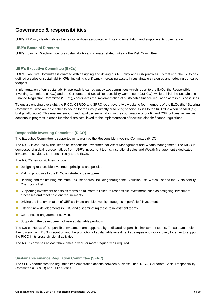# <span id="page-5-0"></span>**Governance & responsibilities**

UBP's RI Policy clearly defines the responsibilities associated with its implementation and empowers its governance.

#### **UBP's Board of Directors**

UBP's Board of Directors monitors sustainability- and climate-related risks via the Risk Committee.

#### **UBP's Executive Committee (ExCo)**

UBP's Executive Committee is charged with designing and driving our RI Policy and CSR practices. To that end, the ExCo has defined a series of sustainability KPIs, including significantly increasing assets in sustainable strategies and reducing our carbon footprint.

Implementation of our sustainability approach is carried out by two committees which report to the ExCo: the Responsible Investing Committee (RICO) and the Corporate and Social Responsibility Committee (CSRCO), while a third, the Sustainable Finance Regulation Committee (SFRC), coordinates the implementation of sustainable finance regulation across business lines.

To ensure ongoing oversight, the RICO, CSRCO and SFRC report every two weeks to four members of the ExCo (the "Steering Committee"), who are able either to decide for the Group directly or to bring specific issues to the full ExCo when needed (e.g. budget allocation). This ensures smooth and rapid decision-making in the coordination of our RI and CSR policies, as well as continuous progress in cross-functional projects linked to the implementation of new sustainable finance regulations.

#### **Responsible Investing Committee (RICO)**

The Executive Committee is supported in its work by the Responsible Investing Committee (RICO).

The RICO is chaired by the Heads of Responsible Investment for Asset Management and Wealth Management. The RICO is composed of global representatives from UBP's investment teams, institutional sales and Wealth Management's dedicated investment services. It reports directly to the ExCo.

The RICO's responsibilities include:

- Designing responsible investment principles and policies
- Making proposals to the ExCo on strategic development
- Defining and maintaining minimum ESG standards, including through the Exclusion List, Watch List and the Sustainability Champions List
- Supporting investment and sales teams on all matters linked to responsible investment, such as designing investment processes and meeting client requirements
- Driving the implementation of UBP's climate and biodiversity strategies in portfolios' investments
- Filtering new developments in ESG and disseminating these to investment teams
- Coordinating engagement activities
- Supporting the development of new sustainable products

The two co-Heads of Responsible Investment are supported by dedicated responsible investment teams. These teams help their division with ESG integration and the promotion of sustainable investment strategies and work closely together to support the RICO in its cross-divisional activities

The RICO convenes at least three times a year, or more frequently as required.

#### **Sustainable Finance Regulation Committee (SFRC)**

The SFRC coordinates the regulation implementation actions between business lines, RICO, Corporate Social Responsibility Committee (CSRCO) and UBP entities.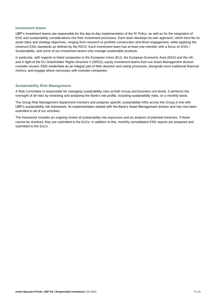#### **Investment teams**

UBP's investment teams are responsible for the day-to-day implementation of the RI Policy, as well as for the integration of ESG and sustainability considerations into their investment processes. Each team develops its own approach, which best fits its asset class and strategy objectives, ranging from research to portfolio construction and direct engagement, while applying the minimum ESG standards as defined by the RICO. Each investment team has at least one member with a focus on ESG / Sustainability, and some of our investment teams only manage sustainable products.

In particular, with regards to listed companies in the European Union (EU), the European Economic Area (EEA) and the UK, and in light of the EU Shareholder Rights Directive II (SRD2), equity investment teams from our Asset Management division consider issuers' ESG credentials as an integral part of their decision and voting processes, alongside more traditional financial metrics, and engage where necessary with investee companies.

#### **Sustainability Risk Management**

A Risk Committee is responsible for managing sustainability risks at both Group and business unit levels. It performs the oversight of all risks by reviewing and analysing the Bank's risk profile, including sustainability risks, on a monthly basis.

The Group Risk Management department monitors and analyses specific sustainability KRIs across the Group in line with UBP's sustainability risk framework. Its implementation started with the Bank's Asset Management division and has now been extended to all of our activities.

The framework includes an ongoing review of sustainability risk exposures and an analysis of potential breaches. If these cannot be resolved, they are submitted to the ExCo. In addition to this, monthly consolidated ESG reports are prepared and submitted to the ExCo.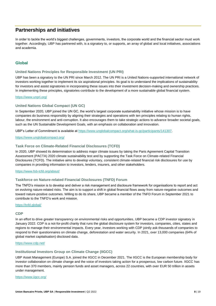# <span id="page-7-0"></span>**Partnerships and initiatives**

In order to tackle the world's biggest challenges, governments, investors, the corporate world and the financial sector must work together. Accordingly, UBP has partnered with, is a signatory to, or supports, an array of global and local initiatives, associations and academia.

# <span id="page-7-1"></span>**Global**

## **United Nations Principles for Responsible Investment (UN PRI)**

UBP has been a signatory to the UN PRI since March 2012. The UN PRI is a United Nations-supported international network of investors working together to implement its six aspirational principles. Its goal is to understand the implications of sustainability for investors and assist signatories in incorporating these issues into their investment decision-making and ownership practices. In implementing these principles, signatories contribute to the development of a more sustainable global financial system.

#### <https://www.unpri.org/>

#### **United Nations Global Compact (UN GC)**

In September 2020, UBP joined the UN GC, the world's largest corporate sustainability initiative whose mission is to have companies do business responsibly by aligning their strategies and operations wit[h ten principles](https://www.unglobalcompact.org/what-is-gc/mission/principles) relating to human rights, labour, the environment and anti-corruption. It also encourages them to take strategic actions to advance [broader societal goals,](https://www.unglobalcompact.org/what-is-gc/our-work/sustainable-development) such as the [UN Sustainable Development Goals,](https://www.unglobalcompact.org/what-is-gc/our-work/sustainable-development/sdgs) with an emphasis on collaboration and innovation.

UBP's Letter of Commitment is available at [https://www.unglobalcompact.org/what-is-gc/participants/141307.](https://www.unglobalcompact.org/what-is-gc/participants/141307)

<https://www.unglobalcompact.org/>

#### **Task Force on Climate-Related Financial Disclosures (TCFD)**

In 2020, UBP showed its determination to address major climate issues by taking the Paris Agreement Capital Transition Assessment (PACTA) 2020 climate sustainability test and by supporting the Task Force on Climate-related Financial Disclosures (TCFD). The initiative aims to develop voluntary, consistent climate-related financial risk disclosures for use by companies in providing information to investors, lenders, insurers, and other stakeholders.

#### <https://www.fsb-tcfd.org/about/>

#### **Taskforce on Nature-related Financial Disclosures (TNFD) Forum**

The TNFD's mission is to develop and deliver a risk management and disclosure framework for organisations to report and act on evolving nature-related risks. The aim is to support a shift in global financial flows away from nature-negative outcomes and toward nature-positive outcomes. Willing to do its share, UBP became a member of the TNFD Forum in September 2021 to contribute to the TNFD's work and mission.

#### <https://tnfd.global/>

#### **CDP**

In an effort to drive greater transparency on environmental risks and opportunities, UBP became a CDP investor signatory in January 2022. CDP is a not-for-profit charity that runs the global disclosure system for investors, companies, cities, states and regions to manage their environmental impacts. Every year, investors working with CDP jointly ask thousands of companies to respond to their questionnaires on climate change, deforestation and water security. In 2021, over 13,000 companies (64% of global market capitalisation) disclosed data.

#### <https://www.cdp.net/>

#### **Institutional Investors Group on Climate Change (IIGCC)**

UBP Asset Management (Europe) S.A. joined the IIGCC in December 2021. The IIGCC is the European membership body for investor collaboration on climate change and the voice of investors taking action for a prosperous, low carbon future. IIGCC has more than 370 members, mainly pension funds and asset managers, across 22 countries, with over EUR 50 trillion in assets under management.

<https://www.iigcc.org/>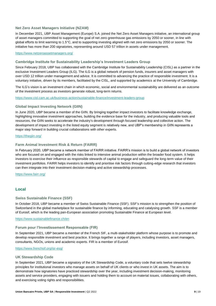#### **Net Zero Asset Managers Initiative (NZAM)**

In December 2021, UBP Asset Management (Europe) S.A. joined the Net Zero Asset Managers initiative, an international group of asset managers committed to supporting the goal of net zero greenhouse gas emissions by 2050 or sooner, in line with global efforts to limit warming to 1.5°C, and to supporting investing aligned with net zero emissions by 2050 or sooner. The initiative has more than 200 signatories, representing around USD 57 trillion in assets under management.

<https://www.netzeroassetmanagers.org/>

#### **Cambridge Institute for Sustainability Leadership's Investment Leaders Group**

Since February 2018, UBP has collaborated with the Cambridge Institute for Sustainability Leadership (CISL) as a partner in the exclusive Investment Leaders Group (ILG). The ILG is a global network of pension funds, insurers and asset managers with over USD 12 trillion under management and advice. It is committed to advancing the practice of responsible investment. It is a voluntary initiative, driven by its members, facilitated by the CISL, and supported by academics at the University of Cambridge.

The ILG's vision is an investment chain in which economic, social and environmental sustainability are delivered as an outcome of the investment process as investors generate robust, long-term returns.

<https://www.cisl.cam.ac.uk/business-action/sustainable-finance/investment-leaders-group>

#### **Global Impact Investing Network (GIIN)**

In June 2020, UBP became a member of the GIIN. By bringing together impact investors to facilitate knowledge exchange, highlighting innovative investment approaches, building the evidence base for the industry, and producing valuable tools and resources, the GIIN seeks to accelerate the industry's development through focused leadership and collective action. The development of impact investing in the listed equity segment is relatively new, and UBP's membership in GIIN represents a major step forward in building crucial collaborations with other experts.

#### <https://thegiin.org/>

#### **Farm Animal Investment Risk & Return (FAIRR)**

In February 2020, UBP became a network member of FAIRR initiative. FAIRR's mission is to build a global network of investors who are focused on and engaged with the risks linked to intensive animal production within the broader food system. It helps investors to exercise their influence as responsible stewards of capital to engage and safeguard the long-term value of their investment portfolios. FAIRR helps investors to identify and prioritise risk factors through cutting-edge research that investors can then integrate into their investment decision-making and active stewardship processes.

<https://www.fairr.org/>

# <span id="page-8-0"></span>**Local**

#### **Swiss Sustainable Finance (SSF)**

In October 2018, UBP became a member of Swiss Sustainable Finance (SSF). SSF's mission is to strengthen the position of Switzerland in the global marketplace for sustainable finance by informing, educating and catalysing growth. SSF is a member of Eurosif, which is the leading pan-European association promoting Sustainable Finance at European level.

#### <https://www.sustainablefinance.ch/en>

#### **Forum pour l'Investissement Responsable (FIR)**

In September 2021, UBP became a member of the French SIF, a multi-stakeholder platform whose purpose is to promote and develop responsible investment and best practice. It brings together a range of players, including investors, asset managers, consultants, NGOs, unions and academic experts. FIR is a member of Eurosif.

#### <https://www.frenchsif.org/isr-esg/>

#### **UK Stewardship Code**

In September 2021, UBP became a signatory of the UK Stewardship Code, a voluntary code that sets twelve stewardship principles for institutional investors who manage assets on behalf of UK clients or who invest in UK assets. The aim is to demonstrate how signatories have practiced stewardship over the year, including investment decision-making, monitoring assets and service providers, engaging with issuers and holding them to account on material issues, collaborating with others, and exercising voting rights and responsibilities.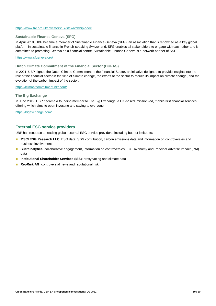#### <https://www.frc.org.uk/investors/uk-stewardship-code>

#### **Sustainable Finance Geneva (SFG)**

In April 2018, UBP became a member of Sustainable Finance Geneva (SFG), an association that is renowned as a key global platform in sustainable finance in French-speaking Switzerland. SFG enables all stakeholders to engage with each other and is committed to promoting Geneva as a financial centre. Sustainable Finance Geneva is a network partner of SSF.

#### <https://www.sfgeneva.org/>

#### **Dutch Climate Commitment of the Financial Sector (DUFAS)**

In 2021, UBP signed the Dutch Climate Commitment of the Financial Sector, an initiative designed to provide insights into the role of the financial sector in the field of climate change, the efforts of the sector to reduce its impact on climate change, and the evolution of the carbon impact of the sector.

#### <https://klimaatcommitment.nl/about/>

#### **The Big Exchange**

In June 2019, UBP became a founding member to The Big Exchange, a UK-based, mission-led, mobile-first financial services offering which aims to open investing and saving to everyone.

<https://bigexchange.com/>

## <span id="page-9-0"></span>**External ESG service providers**

UBP has recourse to leading global external ESG service providers, including but not limited to:

- **MSCI ESG Research LLC**: ESG data, SDG contribution, carbon emissions data and information on controversies and business involvement
- **Sustainalytics:** collaborative engagement, information on controversies, EU Taxonomy and Principal Adverse Impact (PAI) data
- **Institutional Shareholder Services (ISS)**: proxy voting and climate data
- **RepRisk AG**: controversial news and reputational risk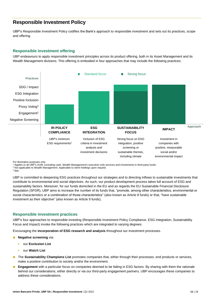# <span id="page-10-0"></span>**Responsible Investment Policy**

UBP's Responsible Investment Policy codifies the Bank's approach to responsible investment and sets out its practices, scope and offering.

## <span id="page-10-1"></span>**Responsible investment offering**

UBP endeavours to apply responsible investment principles across its product offering, both in its Asset Management and its Wealth Management divisions. This offering is embodied in four approaches that may include the following practices:



For illustration purposes only.

<sup>1</sup> Applies to all UBP's AUM, excluding cash, Wealth Management's execution-only services and investments in third-party funds.

<sup>2</sup> Not applicable to Wealth Management. Applicable to client holdings upon request.

3 Ibid.

UBP is committed to deepening ESG practices throughout our strategies and to directing inflows to sustainable investments that contribute to environmental and social objectives. As such, our product development process takes full account of ESG and sustainability factors. Moreover, for our funds domiciled in the EU and as regards the EU Sustainable Financial Disclosure Regulation (SFDR), UBP aims to increase the number of its funds that, "promote, among other characteristics, environmental or social characteristics or a combination of those characteristics" (also known as Article 8 funds) or that, "have sustainable investment as their objective" (also known as Article 9 funds).

## <span id="page-10-2"></span>**Responsible investment practices**

UBP's four approaches to responsible investing (Responsible Investment Policy Compliance, ESG Integration, Sustainability Focus and Impact) invoke the following practices which are integrated to varying degrees:

Encouraging the **incorporation of ESG research and analysis** throughout our investment processes.

- **Negative screening via:** 
	- our **Exclusion List**
	- our **Watch List**
- The **Sustainability Champions List** promotes companies that, either through their processes, end products or services, make a positive contribution to society and/or the environment.
- **Engagement** with a particular focus on companies deemed to be failing in ESG factors. By sharing with them the rationale behind our considerations, either directly or via our third-party engagement partners, UBP encourages these companies to address these considerations.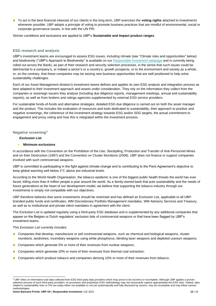■ To act in the best financial interests of our clients in the long term, UBP exercises the **voting rights** attached to investments whenever possible. UBP adopts a principle of voting to promote business practices that are mindful of environmental, social or corporate governance issues, in line with the UN PRI.

Stricter conditions and exclusions are applied to UBP's **Sustainable and Impact product ranges**.

#### **ESG research and analysis**

UBP's investment teams are encouraged to assess ESG issues, including climate (see "Climate risks and opportunities" below) and biodiversity ("UBP's Approach to Biodiversity" is available on ou[r Responsible Investment webpage](https://www.ubp.com/en/investment-expertise/responsible-investment) and is currently being rolled out across the Bank), as part of their research and security selection processes, in the sense that such issues could be detrimental to a company's, or indeed a sector's or a country's, growth prospects, or to the environment and society as a whole, or, on the contrary, that these companies may be seizing new business opportunities that are well positioned to help solve sustainability challenges.

Each of our Asset Management division's investment teams defines and applies its own ESG analysis and integration process as best adapted to their investment approach and assets under consideration. They rely on the information they collect from the companies or sovereign issuers they analyse (including due diligence reports, management meetings, annual and sustainability reports), as well as from brokers and ratings agencies supplemented by external ESG service providers.

For sustainable funds-of-funds and alternative strategies, detailed ESG due diligence is carried out on both the asset manager and the product. This includes the evaluation of resources and tools dedicated to sustainability, their approach to positive and negative screenings, the coherence of the investment strategy towards ESG and/or SDG targets, the actual commitment to engagement and proxy voting and how this is integrated within the investment process.

#### **Negative screening<sup>4</sup>**

#### **Exclusion List**

#### **Minimum exclusions**

In accordance with the Convention on the Prohibition of the Use, Stockpiling, Production and Transfer of Anti-Personnel Mines and on their Destruction (1997) and the Convention on Cluster Munitions (2008), UBP does not finance or support companies involved with such controversial weapons.

UBP is committed to participating in the fight against climate change and to contributing to the Paris Agreement's objective to keep global warming well below 2°C above pre-industrial levels.

According to the [World Health Organisation,](https://www.who.int/news-room/fact-sheets/detail/tobacco) the tobacco epidemic is one of the biggest public health threats the world has ever faced, killing more than 8 million people a year around the world. As a family-owned bank that puts sustainability and the needs of future generations at the heart of our development model, we believe that supporting the tobacco industry through our investments is simply not compatible with our objectives.

UBP therefore believes that some investments should be restricted and has defined an Exclusion List, applicable to all UBPbranded public funds and certificates, WM Discretionary Portfolio Management mandates, WM Advisory Services and Treasury, as well as to institutional and private client mandates in agreement with the client.

The Exclusion List is updated regularly using a third-party ESG database and is supplemented by any additional companies that appear on the Belgian or Dutch regulators' exclusion lists of controversial weapons or that have been flagged by UBP's investment teams.

This Exclusion List currently includes:

- Companies that develop, manufacture or sell controversial weapons, such as chemical and biological weapons, cluster munitions, landmines, incendiary weapons using white phosphorus, blinding laser weapons and depleted uranium weapons;
- Companies which generate 5% or more of their revenues from nuclear weapons;
- Companies which generate 20% or more of their revenues from thermal coal extraction;
- Companies which produce tobacco and companies deriving 10% or more of their revenues from tobacco.

<sup>4</sup> UBP relies on information and data collected from ESG third party data providers which may prove to be incorrect or incomplete. Although UBP applies a proven selection process of such third-party providers, its processes and proprietary ESG methodology may not necessarily capture appropriately the ESG risks. Indeed, data related to sustainability risks or PAI are today either not available or not yet systematically and fully disclosed by issuers, may be incomplete and may follow various methodologies.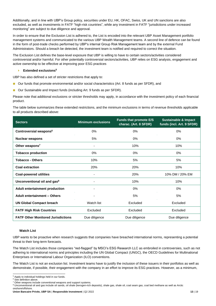Additionally, and in line with UBP's Group policy, securities under EU, HK, OFAC, Swiss, UK and UN sanctions are also excluded, as well as investments in FATF "high-risk countries", while any investment in FATF "jurisdictions under increased monitoring" are subject to due diligence and approval.

In order to ensure that the Exclusion List is adhered to, the List is encoded into the relevant UBP Asset Management portfolio management systems and communicated to the various UBP Wealth Management teams. A second line of defence can be found in the form of post-trade checks performed by UBP's internal Group Risk Management team and by the external Fund Administrators. Should a breach be detected, the investment team is notified and required to correct the situation.

The Exclusion List defines the base-level exposure that UBP is willing to have to certain sectors/activities considered controversial and/or harmful. For other potentially controversial sectors/activities, UBP relies on ESG analysis, engagement and active ownership to be effective at improving poor ESG practices

#### **Extended exclusions<sup>5</sup>**

UBP has also defined a set of stricter restrictions that apply to:

- Our funds that promote environmental and/or social characteristics (Art. 8 funds as per SFDR), and
- Our Sustainable and Impact funds (including Art. 9 funds as per SFDR).

Please note that additional exclusions or stricter thresholds may apply, in accordance with the investment policy of each financial product.

The table below summarizes these extended restrictions, and the minimum exclusions in terms of revenue thresholds applicable to all products described above:

| <b>Sectors</b>                            | <b>Minimum exclusions</b> | <b>Funds that promote E/S</b><br>charac. (Art. 8 SFDR) | <b>Sustainable &amp; Impact</b><br>funds (incl. Art. 9 SFDR) |
|-------------------------------------------|---------------------------|--------------------------------------------------------|--------------------------------------------------------------|
| Controversial weapons <sup>6</sup>        | 0%                        | $0\%$                                                  | $0\%$                                                        |
| <b>Nuclear weapons</b>                    | 5%                        | 0%                                                     | 0%                                                           |
| Other weapons <sup>7</sup>                |                           | 10%                                                    | 10%                                                          |
| <b>Tobacco production</b>                 | 0%                        | 0%                                                     | 0%                                                           |
| <b>Tobacco - Others</b>                   | 10%                       | 5%                                                     | 5%                                                           |
| <b>Coal extraction</b>                    | 20%                       | 20%                                                    | 10%                                                          |
| <b>Coal-powered utilities</b>             |                           | 20%                                                    | 10% DM / 20% EM                                              |
| Unconventional oil and gas <sup>8</sup>   |                           | 10%                                                    | 10%                                                          |
| Adult entertainment production            |                           | 0%                                                     | 0%                                                           |
| <b>Adult entertainment - Others</b>       |                           | 5%                                                     | 5%                                                           |
| <b>UN Global Compact breach</b>           | Watch list                | Excluded                                               | Excluded                                                     |
| <b>FATF High Risk Countries</b>           | Excluded                  | Excluded                                               | Excluded                                                     |
| <b>FATF Other Monitored Jurisdictions</b> | Due diligence             | Due diligence                                          | Due diligence                                                |

#### **Watch List**

UBP wants to be proactive when research suggests that companies have breached international norms, representing a potential threat to their long-term forecasts.

The Watch List includes those companies "red-flagged" by MSCI's ESG Research LLC as embroiled in controversies, such as not adhering to international norms and principles including the UN Global Compact (UNGC), the OECD Guidelines for Multinational Enterprises or International Labour Organization (ILO) conventions.

The Watch List is not an exclusion list. Investment teams have to justify the inclusion of these issuers in their portfolios as well as demonstrate, if possible, their engagement with the company in an effort to improve its ESG practices. However, as a minimum,

<sup>5</sup> Apply to individual holdings held in our funds.

<sup>&</sup>lt;sup>6</sup> See definition above.

<sup>7</sup> Other weapons include conventional weapons and support systems.

<sup>&</sup>lt;sup>8</sup> Unconventional oil and gas include oil sands, oil shale (kerogen-rich deposits), shale gas, shale oil, coal seam gas, coal bed methane as well as Arctic onshore/offshore.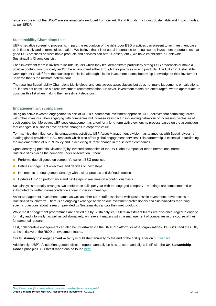issuers in breach of the UNGC are systematically excluded from our Art. 8 and 9 funds (including Sustainable and Impact funds), as per SFDR.

#### **Sustainability Champions List**

UBP's negative screening process is, in part, the recognition of the risks poor ESG practices can present to an investment case, both financially and in terms of reputation. We believe that it is of equal importance to recognise the investment opportunities that good ESG practices or sustainable products and services can offer. Consequently, we have established a Bank-wide Sustainability Champions List.

Each investment team is invited to include issuers which they feel demonstrate particularly strong ESG credentials or make a positive contribution to society and/or the environment either through their practices or end products. The UN's 17 Sustainable Development Goals<sup>9</sup> form the backdrop to this list, although it is the investment teams' bottom-up knowledge of their investment universe that is the ultimate determinant.

The resulting Sustainability Champions List is global and cuts across asset classes but does not make judgements on valuations, i.e. it does not constitute a direct investment recommendation. However, investment teams are encouraged, where appropriate, to consider this list when making their investment decisions.

#### **Engagement with companies**

Being an active investor, engagement is part of UBP's fundamental investment approach. UBP believes that combining forces with other investors when engaging with companies will increase its impact in influencing behaviour or increasing disclosure of such companies. Moreover, UBP sees engagement as a tool for a long-term active ownership process based on the assumption that changes in business drive positive changes in corporate value.

To maximise the influence of its engagement activities, UBP Asset Management division has teamed up with Sustainalytics, a leading global provider of ESG research which also offers global engagement services. This partnership is essential in facilitating the implementation of our RI Policy and in achieving durable change in the selected companies.

Upon identifying potential violation(s) by invested companies of the UN Global Compact or other international norms, Sustainalytics places the company under observation. It hen:

- Performs due diligence on company's current ESG practices
- Defines engagement objectives and decides on next steps
- Implements an engagement strategy with a clear process and defined timeline
- Updates UBP on performance and next steps in real time on a continuous basis

Sustainalytics normally arranges two conference calls per year with the engaged company – meetings are complemented or substituted by written correspondence and/or in-person meetings

Asset Management investment teams, as well as other UBP staff associated with Responsible Investment, have access to Sustainalytics' platform. There is an ongoing exchange between our investment professionals and Sustainalytics regarding specific questions about research provided by Sustainalytics and/or their methodology.

While most engagement programmes are carried out by Sustainalytics, UBP's investment teams are also encouraged to engage formally and informally, as well as collaboratively, on relevant matters with the management of companies in the course of their fundamental research.

Last, collaborative engagement can also be undertaken via the UN PRI platform, or other organisations like IIGCC and the CDP, at the initiative of the RICO or investment teams.

Our **Sustainalytics' engagement activity** is published annually by the end of the first quarter o[n our website.](https://www.ubp.com/en/investment-expertise/responsible-investment?csrt=6161852490746709414)

Additionally, UBP's Asset Management division reports annually on how its approach aligns itself with the **UK Stewardship Code**'s principles. Our latest report can be found [here.](https://www.ubp.com/en/investment-expertise/responsible-investment)

**Union Bancaire Privée, UBP SA** | **Responsible Investment** | Q2 2022 **14** | 19 9 <http://www.un.org/sustainabledevelopment/sustainable-development-goals/>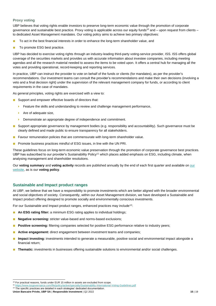## **Proxy voting**

UBP believes that voting rights enable investors to preserve long-term economic value through the promotion of corporate governance and sustainable best practice. Proxy voting is applicable across our equity funds<sup>10</sup> and  $-$  upon request from clients  $$ to dedicated Asset Management mandates. Our voting policy aims to achieve two primary objectives:

- To act in the best financial interests in order to enhance the long-term shareholder value, and
- To promote ESG best practice.

UBP has decided to exercise voting rights through an industry-leading third-party voting-service provider, ISS. ISS offers global coverage of the securities markets and provides us with accurate information about investee companies, including meeting agendas and all the research material needed to assess the items to be voted upon. It offers a central hub for managing all the votes and providing operational, record-keeping and reporting services.

In practice, UBP can instruct the provider to vote on behalf of the funds or clients (for mandates), as per the provider's recommendations. Our investment teams can consult the provider's recommendations and make their own decisions (involving a veto and a final decision right) under the supervision of the relevant management company for funds, or according to client requirements in the case of mandates.

As general principles, voting rights are exercised with a view to:

- Support and empower effective boards of directors that:
	- $\blacktriangleright$  Feature the skills and understanding to review and challenge management performance,
	- Are of adequate size,
	- **Demonstrate an appropriate degree of independence and commitment.**
- Support appropriate governance by management bodies (e.g. responsibility and accountability). Such governance must be clearly defined and made public to ensure transparency for all stakeholders.
- Favour remuneration policies that are commensurate with long-term shareholder value.
- Promote business practices mindful of ESG issues, in line with the UN PRI.

These guidelines focus on long-term economic value preservation through the promotion of corporate governance best practices. UBP has subscribed to our provider's Sustainability Policy<sup>11</sup> which places added emphasis on ESG, including climate, when analysing management and shareholder resolutions.

Our **voting summary** and **voting activity** records are published annually by the end of each first quarter and available on [our](https://www.ubp.com/en/investment-expertise/responsible-investment)  [website,](https://www.ubp.com/en/investment-expertise/responsible-investment) as is our **voting policy**.

# <span id="page-14-0"></span>**Sustainable and Impact product ranges**

At UBP, we believe that we have a responsibility to promote investments which are better aligned with the broader environmental and social objectives of society. Consequently, within our Asset Management division, we have developed a Sustainable and Impact product offering designed to promote socially and environmentally conscious investments.

For our Sustainable and Impact product ranges, enhanced practices may include<sup>12</sup>:

- An ESG rating filter: a minimum ESG rating applies to individual holdings;
- Negative screening: stricter value-based and norms-based exclusions;
- **Positive screening:** filtering companies selected for positive ESG performance relative to industry peers;
- Active engagement: direct engagement between investment teams and companies;
- **Impact investing:** investments intended to generate a measurable, positive social and environmental impact alongside a financial return;
- **Thematic:** investments in businesses offering sustainable solutions to environmental and/or social challenges.

<sup>&</sup>lt;sup>10</sup> For practical reasons, funds under EUR 15 million in assets are excluded from scope.<br><sup>11</sup> https://www.issgovernance.com/file/policy/active/specialty/Sustainability-International-Voting-Guidelines.pdf

<sup>11</sup> https://www.issgovernance.com/file/policy/active/specialty/Sustainability-International-

**Union Bancaire Privée, UBP SA** | **Responsible Investment** | Q2 2022 **15** | 19 <sup>12</sup> The specific practices are detailed in each strategies' dedicated documentation.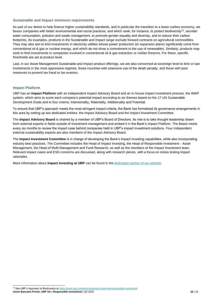#### **Sustainable and Impact minimum requirements**

As part of our desire to help finance higher sustainability standards, and in particular the transition to a lower-carbon economy, we favour companies with better environmental and social practices, and which seek, for instance, to protect biodiversity<sup>13</sup>, sounder water consumption, pollution and waste management, to promote gender equality and diversity, and to reduce their carbon footprints. As examples, products in the Sustainable and Impact range exclude forward contracts on agricultural commodities. They may also aim to limit investments in electricity utilities whose power production (or expansion plans) significantly come from conventional oil & gas or nuclear energy, and which do not show a commitment to the use of renewables. Similarly, products may seek to limit investments in companies involved in conventional oil & gas extraction or civilian firearms. For these, specific thresholds are set at product level.

Last, in our Asset Management Sustainable and Impact product offerings, we are also concerned at sovereign level to limit or ban investments in the most oppressive regimes, those countries with extensive use of the death penalty, and those with poor measures to prevent tax fraud or tax evasion.

## **Impact Platform**

UBP has an **Impact Platform** with an independent Impact Advisory Board and an in-house impact investment process, the IMAP system, which aims to score each company's potential impact according to six themes based on the 17 UN Sustainable Development Goals and to four criteria: Intentionality, Materiality, Additionality and Potential.

To ensure that UBP's approach meets the most stringent impact criteria, the Bank has formalised its governance arrangements in this area by setting up two dedicated entities: the Impact Advisory Board and the Impact Investment Committee.

The **Impact Advisory Board** is chaired by a member of UBP's Board of Directors. Its role is to take thought leadership drawn from external experts in fields outside of investment management and embed it in the Bank's Impact Platform. The Board meets every six months to review the impact case behind companies held in UBP's impact investment solutions. Four independent external sustainability experts are also members of the Impact Advisory Board.

The **Impact Investment Committee** is in charge of developing the Bank's impact investing capabilities, while also incorporating industry best practices. The Committee includes the Head of Impact Investing, the Head of Responsible Investment - Asset Management, the Head of Multi-Management and Fund Research, as well as the members of the Impact Investment team. Relevant impact cases and ESG concerns are discussed, along with research pieces, with a focus on stress testing impact rationales.

More information about **impact investing at UBP** can be found in the [dedicated section](https://www.ubp.com/en/investment-expertise/impact-investing) of our website.

<sup>13</sup> See UBP's Approach to Biodiversity a[t https://www.ubp.com/en/investment-expertise/responsible-investment](https://www.ubp.com/en/investment-expertise/responsible-investment)

**Union Bancaire Privée, UBP SA** | **Responsible Investment** | Q2 2022 **16** | 19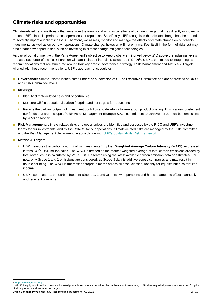# <span id="page-16-0"></span>**Climate risks and opportunities**

Climate-related risks are threats that arise from the transitional or physical effects of climate change that may directly or indirectly impact UBP's financial performance, operations, or reputation. Specifically, UBP recognises that climate change has the potential to severely impact our clients' assets. Therefore, we assess, monitor and manage the effects of climate change on our clients' investments, as well as on our own operations. Climate change, however, will not only manifest itself in the form of risks but may also create new opportunities, such as investing in climate change mitigation technologies.

As part of our alignment with the Paris Agreement's objective to keep global warming well below 2°C above pre-industrial levels, and as a supporter of the Task Force on Climate-Related Financial Disclosures (TCFD)<sup>14</sup>, UBP is committed to integrating its recommendations that are structured around four key areas: Governance, Strategy, Risk Management and Metrics & Targets. Aligned with these recommendations, UBP's approach encapsulates:

- **Governance:** climate-related issues come under the supervision of UBP's Executive Committee and are addressed at RICO and CSR Committee levels.
- **Strategy:**
	- $\blacktriangleright$  Identify climate-related risks and opportunities.
	- Measure UBP's operational carbon footprint and set targets for reductions.
	- Reduce the carbon footprint of investment portfolios and develop a lower-carbon product offering. This is a key for element our funds that are in scope of UBP Asset Management (Europe) S.A.'s commitment to achieve net zero carbon emissions by 2050 or sooner.
- **Risk Management:** climate-related risks and opportunities are identified and assessed by the RICO and UBP's investment teams for our investments, and by the CSRCO for our operations. Climate-related risks are managed by the Risk Committee and the Risk Management department, in accordance with [UBP's Sustainability Risk Framework.](https://www.ubp.com/en/legal-aspects/sustainability-related-disclosures)
- **Metrics & Targets:**
	- UBP measures the carbon footprint of its investments<sup>15</sup> by their **Weighted Average Carbon Intensity (WACI)**, expressed in tons  $CO<sup>2</sup>e/USD$  million sales. The WACI is defined as the market-weighted average of total carbon emissions divided by total revenues. It is calculated by MSCI ESG Research using the latest available carbon emission data or estimates. For now, only Scope 1 and 2 emissions are considered, as Scope 3 data is additive across companies and may result in double counting. The WACI is the most appropriate metric across all asset classes, not only for equities but also for fixed income.
	- UBP also measures the carbon footprint (Scope 1, 2 and 3) of its own operations and has set targets to offset it annually and reduce it over time.

<sup>14</sup> <https://www.fsb-tcfd.org/>

<sup>&</sup>lt;sup>15</sup> All UBP equity and fixed-income funds invested primarily in corporate debt domiciled in France or Luxembourg. UBP aims to gradually measure the carbon footprint of all its products and set reduction targets.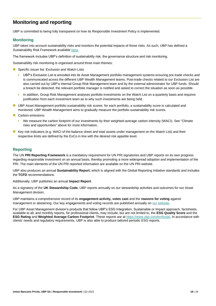# <span id="page-17-0"></span>**Monitoring and reporting**

UBP is committed to being fully transparent on how its Responsible Investment Policy is implemented.

# <span id="page-17-1"></span>**Monitoring**

UBP takes into account sustainability risks and monitors the potential impacts of those risks. As such, UBP has defined a Sustainability Risk Framework availabl[e here.](https://www.ubp.com/en/legal-aspects/sustainability-related-disclosures)

The framework includes UBP's definition of sustainability risk, the governance structure and risk monitoring.

Sustainability risk monitoring is organised around three main themes:

- Specific issuer list: Exclusion and Watch Lists
	- ▶ UBP's Exclusion List is encoded into its Asset Management portfolio management systems ensuring pre-trade checks and is communicated across the different UBP Wealth Management teams. Post-trade checks related to our Exclusion List are also carried out by UBP's internal Group Risk Management team and by the external administrator for UBP funds. Should a breach be detected, the relevant portfolio manager is notified and asked to correct the situation as soon as possible.
	- In addition, Group Risk Management analyses portfolio investments on the Watch List on a quarterly basis and requires justification from each investment team as to why such investments are being held.
- UBP Asset Management portfolio sustainability risk scores: for each portfolio, a sustainability score is calculated and monitored. UBP Wealth Management aims to gradually measure the portfolio sustainability risk scores.
- Carbon emissions:
	- We measure the carbon footprint of our investments by their weighted-average carbon intensity (WACI). See "Climate risks and opportunities" above for more information.
- Key risk indicators (e.g. WACI of the balance sheet and total assets under management on the Watch List) and their respective limits are defined by the ExCo in line with the desired risk appetite level.

# <span id="page-17-2"></span>**Reporting**

The UN **PRI Reporting Framework** is a mandatory requirement for UN PRI signatories and UBP reports on its own progress regarding responsible investment on an annual basis, thereby promoting a more widespread adoption and implementation of the PRI. The main elements of the UN PRI reported information are available on the UN PRI website.

UBP also produces an annual **Sustainability Report**, which is aligned with the Global Reporting Initiative standards and includes the **TCFD** recommendations.

Additionally, UBP publishes an annual **Impact Report**.

As a signatory of the **UK Stewardship Code**, UBP reports annually on our stewardship activities and outcomes for our Asset Management division.

UBP maintains a comprehensive record of its **engagement activity, votes cast** and the **reasons for voting** against management or abstaining. Our key engagements and voting records are published annually o[n our website.](https://www.ubp.com/en/investment-expertise/responsible-investment?csrt=6161852490746709414)

For UBP Asset Management division's products that follow UBP's ESG Integration, Sustainable or Impact approach, factsheets, available to all, and monthly reports, for professional clients, may include, but are not limited to, the **ESG Quality Score** and the **ESG Rating** and **Weighted Average Carbon Footprint**. These reports are at [https://www.ubp.com/en/funds.](https://www.ubp.com/en/funds) In accordance with clients' needs and regulatory requirements, UBP is also able to produce tailored periodic ESG reports.